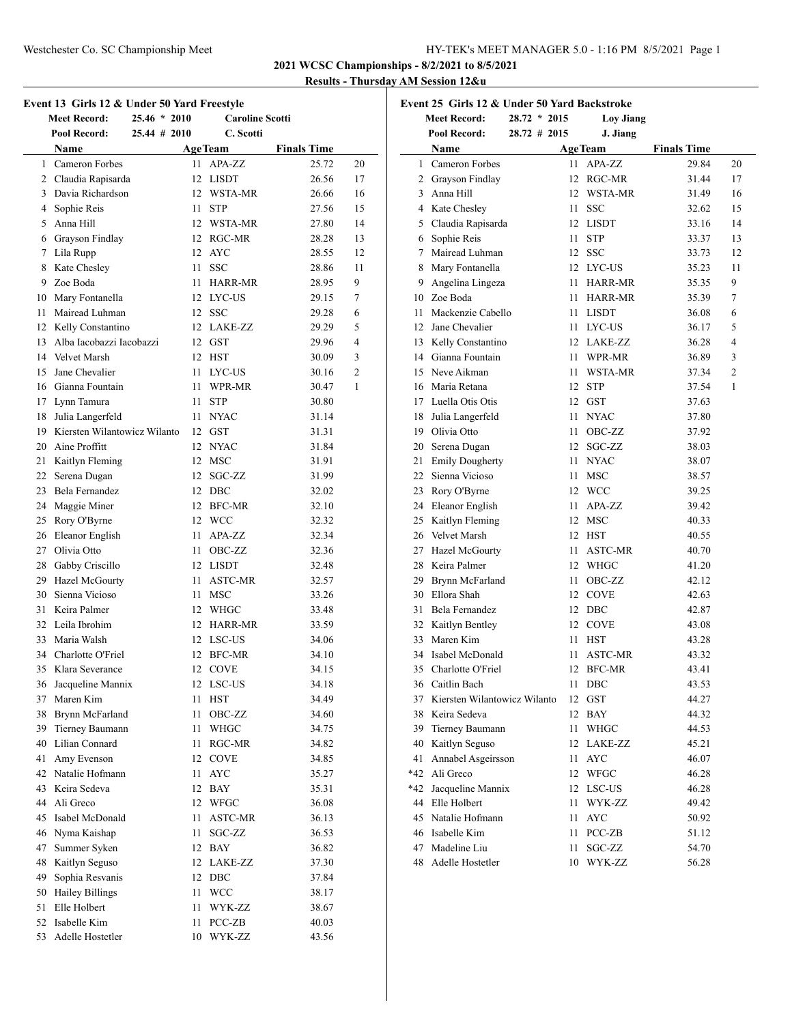**2021 WCSC Championships - 8/2/2021 to 8/5/2021**

## **Results - Thursday AM Session 12&u**

| Event 13 Girls 12 & Under 50 Yard Freestyle |                                        |      |                        |                    |    |  |
|---------------------------------------------|----------------------------------------|------|------------------------|--------------------|----|--|
|                                             | <b>Meet Record:</b><br>$25.46 * 2010$  |      | <b>Caroline Scotti</b> |                    |    |  |
|                                             | <b>Pool Record:</b><br>$25.44 \# 2010$ |      | C. Scotti              |                    |    |  |
|                                             | Name                                   |      | <b>AgeTeam</b>         | <b>Finals Time</b> |    |  |
|                                             | 1 Cameron Forbes                       | 11   | APA-ZZ                 | 25.72              | 20 |  |
|                                             | 2 Claudia Rapisarda                    |      | 12 LISDT               | 26.56              | 17 |  |
|                                             | 3 Davia Richardson                     |      | 12 WSTA-MR             | 26.66              | 16 |  |
|                                             | 4 Sophie Reis                          | 11   | <b>STP</b>             | 27.56              | 15 |  |
|                                             | 5 Anna Hill                            |      | 12 WSTA-MR             | 27.80              | 14 |  |
|                                             | 6 Grayson Findlay                      |      | 12 RGC-MR              | 28.28              | 13 |  |
|                                             | 7 Lila Rupp                            |      | 12 AYC                 | 28.55              | 12 |  |
|                                             | 8 Kate Chesley                         | 11 - | <b>SSC</b>             | 28.86              | 11 |  |
|                                             | 9 Zoe Boda                             |      | 11 HARR-MR             | 28.95              | 9  |  |
|                                             | 10 Mary Fontanella                     |      | 12 LYC-US              | 29.15              | 7  |  |
|                                             | 11 Mairead Luhman                      |      | 12 SSC                 | 29.28              | 6  |  |
|                                             | 12 Kelly Constantino                   |      | 12 LAKE-ZZ             | 29.29              | 5  |  |
|                                             | 13 Alba Iacobazzi Iacobazzi            |      | 12 GST                 | 29.96              | 4  |  |
|                                             | 14 Velvet Marsh                        |      | 12 HST                 | 30.09              | 3  |  |
| 15                                          | Jane Chevalier                         | 11   | LYC-US                 | 30.16              | 2  |  |
|                                             | 16 Gianna Fountain                     | 11   | WPR-MR                 | 30.47              | 1  |  |
|                                             | 17 Lynn Tamura                         | 11 - | <b>STP</b>             | 30.80              |    |  |
| 18                                          | Julia Langerfeld                       |      | 11 NYAC                | 31.14              |    |  |
|                                             | 19 Kiersten Wilantowicz Wilanto        |      | 12 GST                 | 31.31              |    |  |
|                                             | 20 Aine Proffitt                       |      | 12 NYAC                | 31.84              |    |  |
|                                             | 21 Kaitlyn Fleming                     |      | 12 MSC                 | 31.91              |    |  |
|                                             | 22 Serena Dugan                        | 12   | SGC-ZZ                 | 31.99              |    |  |
|                                             | 23 Bela Fernandez                      |      | 12 DBC                 | 32.02              |    |  |
|                                             | 24 Maggie Miner                        |      | 12 BFC-MR              | 32.10              |    |  |
|                                             | 25 Rory O'Byrne                        |      | 12 WCC                 | 32.32              |    |  |
|                                             | 26 Eleanor English                     |      | 11 APA-ZZ              | 32.34              |    |  |
|                                             | 27 Olivia Otto                         |      | 11 OBC-ZZ              | 32.36              |    |  |
|                                             | 28 Gabby Criscillo                     |      | 12 LISDT               | 32.48              |    |  |
|                                             | 29 Hazel McGourty                      |      | 11 ASTC-MR             | 32.57              |    |  |
|                                             | 30 Sienna Vicioso                      |      | 11 MSC                 | 33.26              |    |  |
|                                             | 31 Keira Palmer                        |      | 12 WHGC                | 33.48              |    |  |
|                                             | 32 Leila Ibrohim                       |      | 12 HARR-MR             | 33.59              |    |  |
|                                             | 33 Maria Walsh                         |      | 12 LSC-US              | 34.06              |    |  |
|                                             | 34 Charlotte O'Friel                   | 12   | <b>BFC-MR</b>          | 34.10              |    |  |
| 35                                          | Klara Severance                        | 12   | <b>COVE</b>            | 34.15              |    |  |
| 36                                          | Jacqueline Mannix                      |      | 12 LSC-US              | 34.18              |    |  |
|                                             | 37 Maren Kim                           | 11   | <b>HST</b>             | 34.49              |    |  |
|                                             | 38 Brynn McFarland                     | 11   | OBC-ZZ                 | 34.60              |    |  |
|                                             | 39 Tierney Baumann                     | 11   | WHGC                   | 34.75              |    |  |
|                                             | 40 Lilian Connard                      | 11   | RGC-MR                 | 34.82              |    |  |
|                                             | 41 Amy Evenson                         | 12   | <b>COVE</b>            | 34.85              |    |  |
|                                             | 42 Natalie Hofmann                     | 11   | <b>AYC</b>             | 35.27              |    |  |
|                                             | 43 Keira Sedeva                        | 12   | <b>BAY</b>             | 35.31              |    |  |
|                                             | 44 Ali Greco                           | 12   | <b>WFGC</b>            | 36.08              |    |  |
|                                             | 45 Isabel McDonald                     | 11   | ASTC-MR                | 36.13              |    |  |
|                                             | 46 Nyma Kaishap                        | 11   | SGC-ZZ                 | 36.53              |    |  |
| 47                                          | Summer Syken                           |      | 12 BAY                 | 36.82              |    |  |
| 48                                          | Kaitlyn Seguso                         |      | 12 LAKE-ZZ             | 37.30              |    |  |
| 49                                          | Sophia Resvanis                        |      | 12 DBC                 | 37.84              |    |  |
|                                             | 50 Hailey Billings                     | 11   | <b>WCC</b>             | 38.17              |    |  |
| 51                                          | Elle Holbert                           | 11   | WYK-ZZ                 | 38.67              |    |  |
|                                             | 52 Isabelle Kim                        | 11   | PCC-ZB                 | 40.03              |    |  |
| 53                                          | Adelle Hostetler                       | 10   | WYK-ZZ                 | 43.56              |    |  |
|                                             |                                        |      |                        |                    |    |  |

| Event 25 Girls 12 & Under 50 Yard Backstroke |                                 |  |                |    |                  |                    |    |
|----------------------------------------------|---------------------------------|--|----------------|----|------------------|--------------------|----|
|                                              | <b>Meet Record:</b>             |  | $28.72 * 2015$ |    | <b>Loy Jiang</b> |                    |    |
|                                              | <b>Pool Record:</b>             |  | 28.72 # 2015   |    | J. Jiang         |                    |    |
|                                              | Name                            |  |                |    | AgeTeam          | <b>Finals Time</b> |    |
|                                              | 1 Cameron Forbes                |  |                | 11 | APA-ZZ           | 29.84              | 20 |
|                                              | 2 Grayson Findlay               |  |                |    | 12 RGC-MR        | 31.44              | 17 |
|                                              | 3 Anna Hill                     |  |                |    | 12 WSTA-MR       | 31.49              | 16 |
|                                              | 4 Kate Chesley                  |  | 11             |    | <b>SSC</b>       | 32.62              | 15 |
|                                              | 5 Claudia Rapisarda             |  |                |    | 12 LISDT         | 33.16              | 14 |
|                                              | 6 Sophie Reis                   |  |                | 11 | <b>STP</b>       | 33.37              | 13 |
| 7                                            | Mairead Luhman                  |  | 12             |    | SSC              | 33.73              | 12 |
|                                              | 8 Mary Fontanella               |  | 12             |    | LYC-US           | 35.23              | 11 |
|                                              | 9 Angelina Lingeza              |  | 11             |    | HARR-MR          | 35.35              | 9  |
|                                              | 10 Zoe Boda                     |  | 11             |    | HARR-MR          | 35.39              | 7  |
|                                              | 11 Mackenzie Cabello            |  | 11             |    | LISDT            | 36.08              | 6  |
|                                              | 12 Jane Chevalier               |  |                |    | 11 LYC-US        | 36.17              | 5  |
|                                              | 13 Kelly Constantino            |  |                |    | 12 LAKE-ZZ       | 36.28              | 4  |
|                                              | 14 Gianna Fountain              |  | 11             |    | WPR-MR           | 36.89              | 3  |
|                                              | 15 Neve Aikman                  |  |                |    | 11 WSTA-MR       | 37.34              | 2  |
|                                              | 16 Maria Retana                 |  |                |    | 12 STP           | 37.54              | 1  |
|                                              | 17 Luella Otis Otis             |  |                |    | $12$ GST         | 37.63              |    |
| 18                                           | Julia Langerfeld                |  | 11             |    | <b>NYAC</b>      | 37.80              |    |
|                                              | 19 Olivia Otto                  |  |                | 11 | OBC-ZZ           | 37.92              |    |
|                                              | 20 Serena Dugan                 |  |                | 12 | SGC-ZZ           | 38.03              |    |
|                                              | 21 Emily Dougherty              |  | 11             |    | <b>NYAC</b>      | 38.07              |    |
|                                              | 22 Sienna Vicioso               |  | 11             |    | MSC              | 38.57              |    |
|                                              | 23 Rory O'Byrne                 |  |                |    | 12 WCC           | 39.25              |    |
|                                              | 24 Eleanor English              |  | 11             |    | APA-ZZ           | 39.42              |    |
|                                              | 25 Kaitlyn Fleming              |  |                |    | 12 MSC           | 40.33              |    |
|                                              | 26 Velvet Marsh                 |  |                |    | 12 HST           | 40.55              |    |
|                                              | 27 Hazel McGourty               |  | 11             |    | ASTC-MR          | 40.70              |    |
|                                              | 28 Keira Palmer                 |  |                |    | 12 WHGC          | 41.20              |    |
|                                              | 29 Brynn McFarland              |  |                | 11 | OBC-ZZ           | 42.12              |    |
|                                              | 30 Ellora Shah                  |  |                |    | 12 COVE          | 42.63              |    |
| 31                                           | Bela Fernandez                  |  | 12             |    | DBC              | 42.87              |    |
|                                              | 32 Kaitlyn Bentley              |  |                |    | 12 COVE          | 43.08              |    |
| 33                                           | Maren Kim                       |  | 11             |    | <b>HST</b>       | 43.28              |    |
|                                              | 34 Isabel McDonald              |  | 11             |    | ASTC-MR          | 43.32              |    |
| 35                                           | Charlotte O'Friel               |  | 12             |    | <b>BFC-MR</b>    | 43.41              |    |
|                                              | 36 Caitlin Bach                 |  | 11             |    | DBC              | 43.53              |    |
|                                              | 37 Kiersten Wilantowicz Wilanto |  |                | 12 | GST              | 44.27              |    |
|                                              | 38 Keira Sedeva                 |  | 12             |    | BAY              | 44.32              |    |
|                                              | 39 Tierney Baumann              |  | 11             |    | <b>WHGC</b>      | 44.53              |    |
|                                              | 40 Kaitlyn Seguso               |  |                |    | 12 LAKE-ZZ       | 45.21              |    |
| 41                                           | Annabel Asgeirsson              |  | 11             |    | AYC              | 46.07              |    |
|                                              | *42 Ali Greco                   |  | 12             |    | <b>WFGC</b>      | 46.28              |    |
|                                              | *42 Jacqueline Mannix           |  | 12             |    | LSC-US           | 46.28              |    |
|                                              | 44 Elle Holbert                 |  | 11             |    | WYK-ZZ           | 49.42              |    |
|                                              | 45 Natalie Hofmann              |  | 11             |    | AYC              | 50.92              |    |
|                                              | 46 Isabelle Kim                 |  | 11             |    | PCC-ZB           | 51.12              |    |
|                                              | 47 Madeline Liu                 |  | 11             |    | SGC-ZZ           | 54.70              |    |
|                                              | 48 Adelle Hostetler             |  | 10             |    | WYK-ZZ           | 56.28              |    |
|                                              |                                 |  |                |    |                  |                    |    |